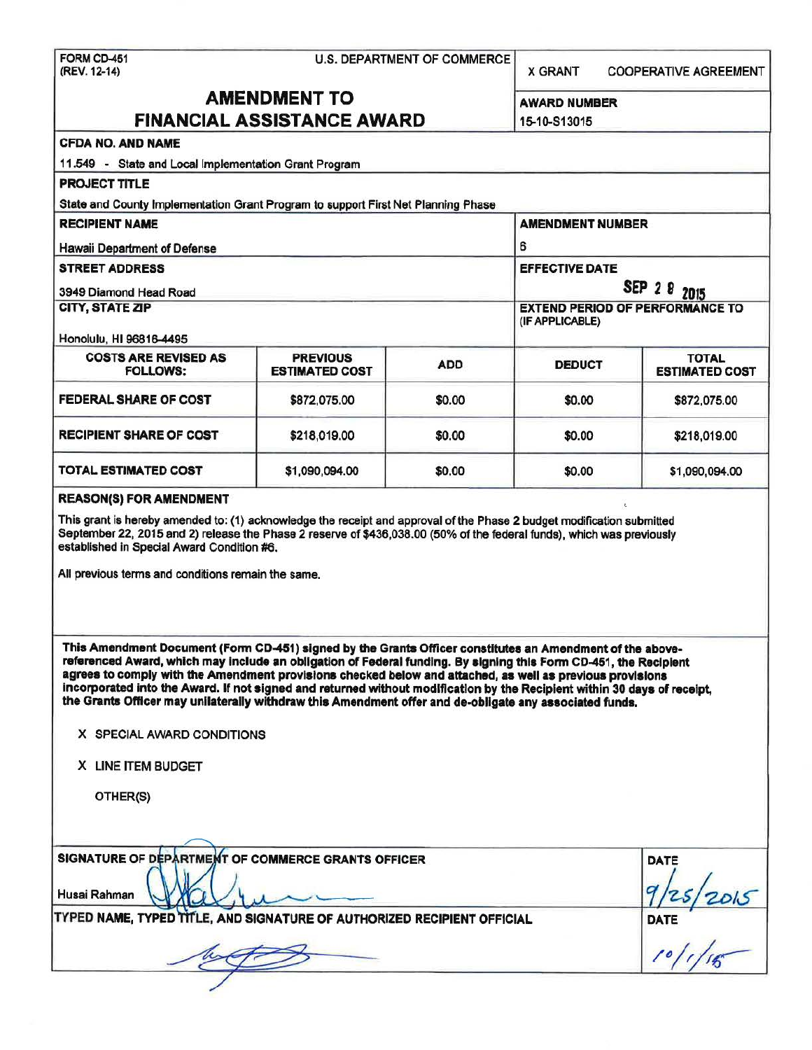FORMCD-451 (REV. 12-14)

U.S. DEPARTMENT OF COMMERCE

X GRANT COOPERATIVE AGREEMENT

# AMENDMENT TO FINANCIAL ASSISTANCE AWARD

AWARD NUMBER

|                                                                                                                                                                                                                                                                                                                                                                                                                                                                                                                                                                                                                                                   | FINANCIAL ASSISTANCE AWARD |        | 15-10-S13015                                                          |                |                                                |                                          |            |                 |                                        |
|---------------------------------------------------------------------------------------------------------------------------------------------------------------------------------------------------------------------------------------------------------------------------------------------------------------------------------------------------------------------------------------------------------------------------------------------------------------------------------------------------------------------------------------------------------------------------------------------------------------------------------------------------|----------------------------|--------|-----------------------------------------------------------------------|----------------|------------------------------------------------|------------------------------------------|------------|-----------------|----------------------------------------|
| <b>CFDA NO. AND NAME</b>                                                                                                                                                                                                                                                                                                                                                                                                                                                                                                                                                                                                                          |                            |        |                                                                       |                |                                                |                                          |            |                 |                                        |
| 11.549 - State and Local Implementation Grant Program                                                                                                                                                                                                                                                                                                                                                                                                                                                                                                                                                                                             |                            |        |                                                                       |                |                                                |                                          |            |                 |                                        |
| <b>PROJECT TITLE</b>                                                                                                                                                                                                                                                                                                                                                                                                                                                                                                                                                                                                                              |                            |        |                                                                       |                |                                                |                                          |            |                 |                                        |
| State and County Implementation Grant Program to support First Net Planning Phase                                                                                                                                                                                                                                                                                                                                                                                                                                                                                                                                                                 |                            |        |                                                                       |                |                                                |                                          |            |                 |                                        |
| <b>RECIPIENT NAME</b><br><b>Hawaii Department of Defense</b><br><b>STREET ADDRESS</b><br>3949 Diamond Head Road                                                                                                                                                                                                                                                                                                                                                                                                                                                                                                                                   |                            |        | <b>AMENDMENT NUMBER</b><br>6<br><b>EFFECTIVE DATE</b><br>SEP 2 8 2015 |                |                                                |                                          |            |                 |                                        |
|                                                                                                                                                                                                                                                                                                                                                                                                                                                                                                                                                                                                                                                   |                            |        |                                                                       |                | CITY, STATE ZIP                                |                                          |            |                 | <b>EXTEND PERIOD OF PERFORMANCE TO</b> |
|                                                                                                                                                                                                                                                                                                                                                                                                                                                                                                                                                                                                                                                   |                            |        |                                                                       |                | Honolulu, HI 96816-4495                        |                                          |            | (IF APPLICABLE) |                                        |
|                                                                                                                                                                                                                                                                                                                                                                                                                                                                                                                                                                                                                                                   |                            |        |                                                                       |                | <b>COSTS ARE REVISED AS</b><br><b>FOLLOWS:</b> | <b>PREVIOUS</b><br><b>ESTIMATED COST</b> | <b>ADD</b> | <b>DEDUCT</b>   | <b>TOTAL</b><br><b>ESTIMATED COST</b>  |
| FEDERAL SHARE OF COST                                                                                                                                                                                                                                                                                                                                                                                                                                                                                                                                                                                                                             | \$872,075.00               | \$0.00 | \$0.00                                                                | \$872,075.00   |                                                |                                          |            |                 |                                        |
| <b>RECIPIENT SHARE OF COST</b>                                                                                                                                                                                                                                                                                                                                                                                                                                                                                                                                                                                                                    | \$218,019.00               | \$0.00 | \$0.00                                                                | \$218,019.00   |                                                |                                          |            |                 |                                        |
| <b>TOTAL ESTIMATED COST</b>                                                                                                                                                                                                                                                                                                                                                                                                                                                                                                                                                                                                                       | \$1,090,094.00             | \$0.00 | \$0.00                                                                | \$1,090,094.00 |                                                |                                          |            |                 |                                        |
| This grant is hereby amended to: (1) acknowledge the receipt and approval of the Phase 2 budget modification submitted<br>September 22, 2015 and 2) release the Phase 2 reserve of \$436,038.00 (50% of the federal funds), which was previously<br>established in Special Award Condition #6.<br>All previous terms and conditions remain the same.                                                                                                                                                                                                                                                                                              |                            |        |                                                                       |                |                                                |                                          |            |                 |                                        |
| This Amendment Document (Form CD-451) signed by the Grants Officer constitutes an Amendment of the above-<br>referenced Award, which may include an obligation of Federal funding. By signing this Form CD-451, the Recipient<br>agrees to comply with the Amendment provisions checked below and attached, as well as previous provisions<br>incorporated into the Award. If not signed and returned without modification by the Recipient within 30 days of receipt,<br>the Grants Officer may unilaterally withdraw this Amendment offer and de-obligate any associated funds.<br>X SPECIAL AWARD CONDITIONS<br>X LINE ITEM BUDGET<br>OTHER(S) |                            |        |                                                                       |                |                                                |                                          |            |                 |                                        |
| SIGNATURE OF DEPARTMENT OF COMMERCE GRANTS OFFICER<br>Husai Rahman                                                                                                                                                                                                                                                                                                                                                                                                                                                                                                                                                                                |                            |        |                                                                       | DATE           |                                                |                                          |            |                 |                                        |
| TYPED NAME, TYPED TITLE, AND SIGNATURE OF AUTHORIZED RECIPIENT OFFICIAL                                                                                                                                                                                                                                                                                                                                                                                                                                                                                                                                                                           |                            |        |                                                                       | DATE           |                                                |                                          |            |                 |                                        |
|                                                                                                                                                                                                                                                                                                                                                                                                                                                                                                                                                                                                                                                   |                            |        |                                                                       |                |                                                |                                          |            |                 |                                        |
|                                                                                                                                                                                                                                                                                                                                                                                                                                                                                                                                                                                                                                                   |                            |        |                                                                       |                |                                                |                                          |            |                 |                                        |